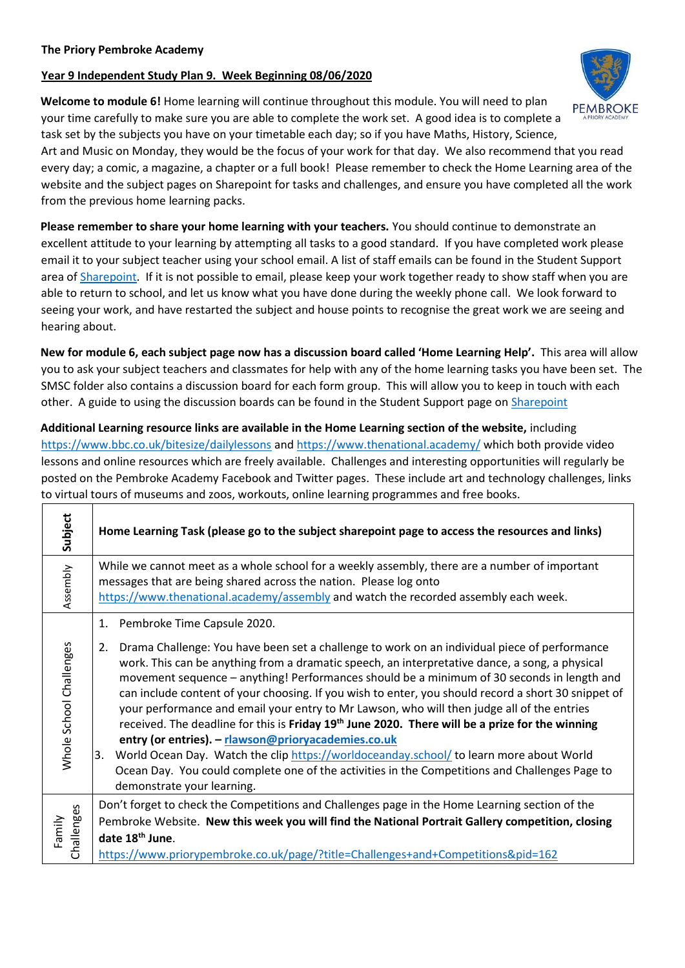## **Year 9 Independent Study Plan 9. Week Beginning 08/06/2020**

**Welcome to module 6!** Home learning will continue throughout this module. You will need to plan your time carefully to make sure you are able to complete the work set. A good idea is to complete a task set by the subjects you have on your timetable each day; so if you have Maths, History, Science,

Art and Music on Monday, they would be the focus of your work for that day. We also recommend that you read every day; a comic, a magazine, a chapter or a full book! Please remember to check the Home Learning area of the website and the subject pages on Sharepoint for tasks and challenges, and ensure you have completed all the work from the previous home learning packs.

**Please remember to share your home learning with your teachers.** You should continue to demonstrate an excellent attitude to your learning by attempting all tasks to a good standard. If you have completed work please email it to your subject teacher using your school email. A list of staff emails can be found in the Student Support area o[f Sharepoint.](https://sharepoint.prioryacademies.co.uk/sites/studentsupport/pemstudent/_layouts/15/start.aspx#/SitePages/Home.aspx) If it is not possible to email, please keep your work together ready to show staff when you are able to return to school, and let us know what you have done during the weekly phone call. We look forward to seeing your work, and have restarted the subject and house points to recognise the great work we are seeing and hearing about.

**New for module 6, each subject page now has a discussion board called 'Home Learning Help'.** This area will allow you to ask your subject teachers and classmates for help with any of the home learning tasks you have been set. The SMSC folder also contains a discussion board for each form group. This will allow you to keep in touch with each other. A guide to using the discussion boards can be found in the Student Support page on [Sharepoint](https://sharepoint.prioryacademies.co.uk/sites/studentsupport/pemstudent/_layouts/15/start.aspx#/SitePages/Home.aspx)

**Additional Learning resource links are available in the Home Learning section of the website,** including <https://www.bbc.co.uk/bitesize/dailylessons> and<https://www.thenational.academy/> which both provide video lessons and online resources which are freely available. Challenges and interesting opportunities will regularly be posted on the Pembroke Academy Facebook and Twitter pages. These include art and technology challenges, links to virtual tours of museums and zoos, workouts, online learning programmes and free books.

| Subject                 | Home Learning Task (please go to the subject sharepoint page to access the resources and links)                                                                                                                                                                                                                                                                                                                                                                                                                                                                                                                                                                                                                                                                                                                                                                                                                                   |
|-------------------------|-----------------------------------------------------------------------------------------------------------------------------------------------------------------------------------------------------------------------------------------------------------------------------------------------------------------------------------------------------------------------------------------------------------------------------------------------------------------------------------------------------------------------------------------------------------------------------------------------------------------------------------------------------------------------------------------------------------------------------------------------------------------------------------------------------------------------------------------------------------------------------------------------------------------------------------|
| Assembly                | While we cannot meet as a whole school for a weekly assembly, there are a number of important<br>messages that are being shared across the nation. Please log onto<br>https://www.thenational.academy/assembly and watch the recorded assembly each week.                                                                                                                                                                                                                                                                                                                                                                                                                                                                                                                                                                                                                                                                         |
| Whole School Challenges | 1. Pembroke Time Capsule 2020.<br>Drama Challenge: You have been set a challenge to work on an individual piece of performance<br>2.<br>work. This can be anything from a dramatic speech, an interpretative dance, a song, a physical<br>movement sequence - anything! Performances should be a minimum of 30 seconds in length and<br>can include content of your choosing. If you wish to enter, you should record a short 30 snippet of<br>your performance and email your entry to Mr Lawson, who will then judge all of the entries<br>received. The deadline for this is Friday 19th June 2020. There will be a prize for the winning<br>entry (or entries). - rlawson@prioryacademies.co.uk<br>3. World Ocean Day. Watch the clip https://worldoceanday.school/ to learn more about World<br>Ocean Day. You could complete one of the activities in the Competitions and Challenges Page to<br>demonstrate your learning. |
| Challenges<br>Family    | Don't forget to check the Competitions and Challenges page in the Home Learning section of the<br>Pembroke Website. New this week you will find the National Portrait Gallery competition, closing<br>date 18 <sup>th</sup> June.<br>https://www.priorypembroke.co.uk/page/?title=Challenges+and+Competitions&pid=162                                                                                                                                                                                                                                                                                                                                                                                                                                                                                                                                                                                                             |

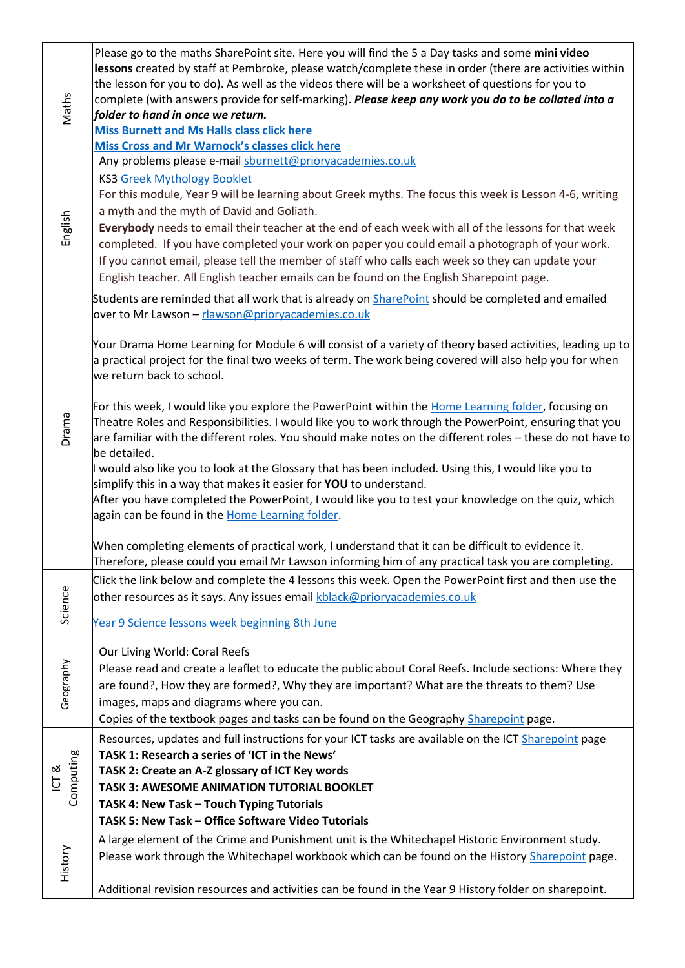| Maths                          | Please go to the maths SharePoint site. Here you will find the 5 a Day tasks and some mini video<br>lessons created by staff at Pembroke, please watch/complete these in order (there are activities within<br>the lesson for you to do). As well as the videos there will be a worksheet of questions for you to<br>complete (with answers provide for self-marking). Please keep any work you do to be collated into a<br>folder to hand in once we return.<br><b>Miss Burnett and Ms Halls class click here</b><br><b>Miss Cross and Mr Warnock's classes click here</b><br>Any problems please e-mail sburnett@prioryacademies.co.uk                                                                                                                                                                                                                                                                                                                                                                                                                                                                                                                                                                                                                                                                      |
|--------------------------------|---------------------------------------------------------------------------------------------------------------------------------------------------------------------------------------------------------------------------------------------------------------------------------------------------------------------------------------------------------------------------------------------------------------------------------------------------------------------------------------------------------------------------------------------------------------------------------------------------------------------------------------------------------------------------------------------------------------------------------------------------------------------------------------------------------------------------------------------------------------------------------------------------------------------------------------------------------------------------------------------------------------------------------------------------------------------------------------------------------------------------------------------------------------------------------------------------------------------------------------------------------------------------------------------------------------|
| English                        | <b>KS3 Greek Mythology Booklet</b><br>For this module, Year 9 will be learning about Greek myths. The focus this week is Lesson 4-6, writing<br>a myth and the myth of David and Goliath.<br>Everybody needs to email their teacher at the end of each week with all of the lessons for that week<br>completed. If you have completed your work on paper you could email a photograph of your work.<br>If you cannot email, please tell the member of staff who calls each week so they can update your<br>English teacher. All English teacher emails can be found on the English Sharepoint page.                                                                                                                                                                                                                                                                                                                                                                                                                                                                                                                                                                                                                                                                                                           |
| Drama                          | Students are reminded that all work that is already on SharePoint should be completed and emailed<br>over to Mr Lawson - rlawson@prioryacademies.co.uk<br>Your Drama Home Learning for Module 6 will consist of a variety of theory based activities, leading up to<br>a practical project for the final two weeks of term. The work being covered will also help you for when<br>we return back to school.<br>For this week, I would like you explore the PowerPoint within the Home Learning folder, focusing on<br>Theatre Roles and Responsibilities. I would like you to work through the PowerPoint, ensuring that you<br>are familiar with the different roles. You should make notes on the different roles – these do not have to<br>be detailed.<br>would also like you to look at the Glossary that has been included. Using this, I would like you to<br>simplify this in a way that makes it easier for YOU to understand.<br>After you have completed the PowerPoint, I would like you to test your knowledge on the quiz, which<br>again can be found in the Home Learning folder.<br>When completing elements of practical work, I understand that it can be difficult to evidence it.<br>Therefore, please could you email Mr Lawson informing him of any practical task you are completing. |
| Science                        | Click the link below and complete the 4 lessons this week. Open the PowerPoint first and then use the<br>other resources as it says. Any issues email kblack@prioryacademies.co.uk<br>Year 9 Science lessons week beginning 8th June                                                                                                                                                                                                                                                                                                                                                                                                                                                                                                                                                                                                                                                                                                                                                                                                                                                                                                                                                                                                                                                                          |
| Geography                      | Our Living World: Coral Reefs<br>Please read and create a leaflet to educate the public about Coral Reefs. Include sections: Where they<br>are found?, How they are formed?, Why they are important? What are the threats to them? Use<br>images, maps and diagrams where you can.<br>Copies of the textbook pages and tasks can be found on the Geography Sharepoint page.                                                                                                                                                                                                                                                                                                                                                                                                                                                                                                                                                                                                                                                                                                                                                                                                                                                                                                                                   |
| Computing<br>$\overline{CT}$ & | Resources, updates and full instructions for your ICT tasks are available on the ICT Sharepoint page<br>TASK 1: Research a series of 'ICT in the News'<br>TASK 2: Create an A-Z glossary of ICT Key words<br>TASK 3: AWESOME ANIMATION TUTORIAL BOOKLET<br>TASK 4: New Task - Touch Typing Tutorials<br>TASK 5: New Task - Office Software Video Tutorials                                                                                                                                                                                                                                                                                                                                                                                                                                                                                                                                                                                                                                                                                                                                                                                                                                                                                                                                                    |
| History                        | A large element of the Crime and Punishment unit is the Whitechapel Historic Environment study.<br>Please work through the Whitechapel workbook which can be found on the History Sharepoint page.<br>Additional revision resources and activities can be found in the Year 9 History folder on sharepoint.                                                                                                                                                                                                                                                                                                                                                                                                                                                                                                                                                                                                                                                                                                                                                                                                                                                                                                                                                                                                   |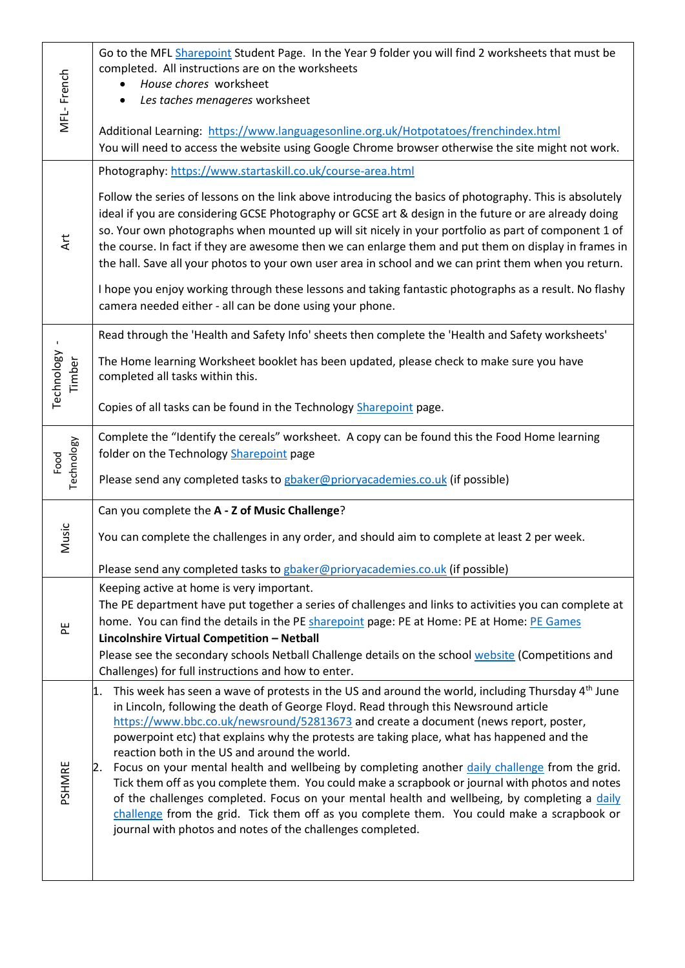| MFL-French                | Go to the MFL Sharepoint Student Page. In the Year 9 folder you will find 2 worksheets that must be<br>completed. All instructions are on the worksheets<br>House chores worksheet<br>Les taches menageres worksheet<br>$\bullet$                                                                                                                                                                                                                                                                                                                                                                                                                                                                                                                                                                                                                                                                                          |
|---------------------------|----------------------------------------------------------------------------------------------------------------------------------------------------------------------------------------------------------------------------------------------------------------------------------------------------------------------------------------------------------------------------------------------------------------------------------------------------------------------------------------------------------------------------------------------------------------------------------------------------------------------------------------------------------------------------------------------------------------------------------------------------------------------------------------------------------------------------------------------------------------------------------------------------------------------------|
|                           | Additional Learning: https://www.languagesonline.org.uk/Hotpotatoes/frenchindex.html<br>You will need to access the website using Google Chrome browser otherwise the site might not work.                                                                                                                                                                                                                                                                                                                                                                                                                                                                                                                                                                                                                                                                                                                                 |
| <b>Art</b>                | Photography: https://www.startaskill.co.uk/course-area.html                                                                                                                                                                                                                                                                                                                                                                                                                                                                                                                                                                                                                                                                                                                                                                                                                                                                |
|                           | Follow the series of lessons on the link above introducing the basics of photography. This is absolutely<br>ideal if you are considering GCSE Photography or GCSE art & design in the future or are already doing<br>so. Your own photographs when mounted up will sit nicely in your portfolio as part of component 1 of<br>the course. In fact if they are awesome then we can enlarge them and put them on display in frames in<br>the hall. Save all your photos to your own user area in school and we can print them when you return.                                                                                                                                                                                                                                                                                                                                                                                |
|                           | I hope you enjoy working through these lessons and taking fantastic photographs as a result. No flashy<br>camera needed either - all can be done using your phone.                                                                                                                                                                                                                                                                                                                                                                                                                                                                                                                                                                                                                                                                                                                                                         |
| Technology<br>Timber      | Read through the 'Health and Safety Info' sheets then complete the 'Health and Safety worksheets'                                                                                                                                                                                                                                                                                                                                                                                                                                                                                                                                                                                                                                                                                                                                                                                                                          |
|                           | The Home learning Worksheet booklet has been updated, please check to make sure you have<br>completed all tasks within this.                                                                                                                                                                                                                                                                                                                                                                                                                                                                                                                                                                                                                                                                                                                                                                                               |
|                           | Copies of all tasks can be found in the Technology Sharepoint page.                                                                                                                                                                                                                                                                                                                                                                                                                                                                                                                                                                                                                                                                                                                                                                                                                                                        |
| <b>Technology</b><br>Food | Complete the "Identify the cereals" worksheet. A copy can be found this the Food Home learning<br>folder on the Technology Sharepoint page                                                                                                                                                                                                                                                                                                                                                                                                                                                                                                                                                                                                                                                                                                                                                                                 |
|                           | Please send any completed tasks to gbaker@prioryacademies.co.uk (if possible)                                                                                                                                                                                                                                                                                                                                                                                                                                                                                                                                                                                                                                                                                                                                                                                                                                              |
| Music                     | Can you complete the A - Z of Music Challenge?                                                                                                                                                                                                                                                                                                                                                                                                                                                                                                                                                                                                                                                                                                                                                                                                                                                                             |
|                           | You can complete the challenges in any order, and should aim to complete at least 2 per week.                                                                                                                                                                                                                                                                                                                                                                                                                                                                                                                                                                                                                                                                                                                                                                                                                              |
|                           | Please send any completed tasks to gbaker@prioryacademies.co.uk (if possible)                                                                                                                                                                                                                                                                                                                                                                                                                                                                                                                                                                                                                                                                                                                                                                                                                                              |
| 씬                         | Keeping active at home is very important.<br>The PE department have put together a series of challenges and links to activities you can complete at<br>home. You can find the details in the PE sharepoint page: PE at Home: PE at Home: PE Games<br>Lincolnshire Virtual Competition - Netball<br>Please see the secondary schools Netball Challenge details on the school website (Competitions and                                                                                                                                                                                                                                                                                                                                                                                                                                                                                                                      |
|                           | Challenges) for full instructions and how to enter.                                                                                                                                                                                                                                                                                                                                                                                                                                                                                                                                                                                                                                                                                                                                                                                                                                                                        |
| PSHMRE                    | This week has seen a wave of protests in the US and around the world, including Thursday 4 <sup>th</sup> June<br>1.<br>in Lincoln, following the death of George Floyd. Read through this Newsround article<br>https://www.bbc.co.uk/newsround/52813673 and create a document (news report, poster,<br>powerpoint etc) that explains why the protests are taking place, what has happened and the<br>reaction both in the US and around the world.<br>Focus on your mental health and wellbeing by completing another daily challenge from the grid.<br>2.<br>Tick them off as you complete them. You could make a scrapbook or journal with photos and notes<br>of the challenges completed. Focus on your mental health and wellbeing, by completing a daily<br>challenge from the grid. Tick them off as you complete them. You could make a scrapbook or<br>journal with photos and notes of the challenges completed. |
|                           |                                                                                                                                                                                                                                                                                                                                                                                                                                                                                                                                                                                                                                                                                                                                                                                                                                                                                                                            |